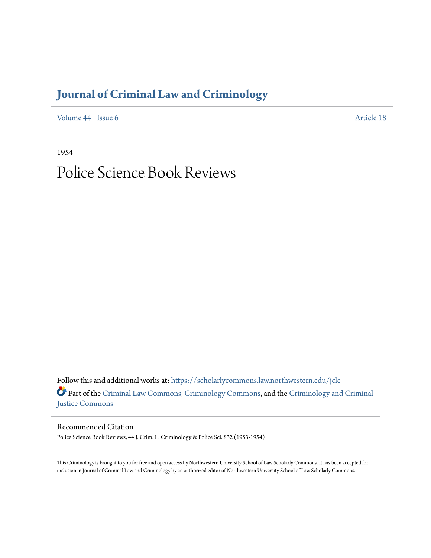# **[Journal of Criminal Law and Criminology](https://scholarlycommons.law.northwestern.edu/jclc?utm_source=scholarlycommons.law.northwestern.edu%2Fjclc%2Fvol44%2Fiss6%2F18&utm_medium=PDF&utm_campaign=PDFCoverPages)**

[Volume 44](https://scholarlycommons.law.northwestern.edu/jclc/vol44?utm_source=scholarlycommons.law.northwestern.edu%2Fjclc%2Fvol44%2Fiss6%2F18&utm_medium=PDF&utm_campaign=PDFCoverPages) | [Issue 6](https://scholarlycommons.law.northwestern.edu/jclc/vol44/iss6?utm_source=scholarlycommons.law.northwestern.edu%2Fjclc%2Fvol44%2Fiss6%2F18&utm_medium=PDF&utm_campaign=PDFCoverPages) [Article 18](https://scholarlycommons.law.northwestern.edu/jclc/vol44/iss6/18?utm_source=scholarlycommons.law.northwestern.edu%2Fjclc%2Fvol44%2Fiss6%2F18&utm_medium=PDF&utm_campaign=PDFCoverPages)

1954

# Police Science Book Reviews

Follow this and additional works at: [https://scholarlycommons.law.northwestern.edu/jclc](https://scholarlycommons.law.northwestern.edu/jclc?utm_source=scholarlycommons.law.northwestern.edu%2Fjclc%2Fvol44%2Fiss6%2F18&utm_medium=PDF&utm_campaign=PDFCoverPages) Part of the [Criminal Law Commons](http://network.bepress.com/hgg/discipline/912?utm_source=scholarlycommons.law.northwestern.edu%2Fjclc%2Fvol44%2Fiss6%2F18&utm_medium=PDF&utm_campaign=PDFCoverPages), [Criminology Commons](http://network.bepress.com/hgg/discipline/417?utm_source=scholarlycommons.law.northwestern.edu%2Fjclc%2Fvol44%2Fiss6%2F18&utm_medium=PDF&utm_campaign=PDFCoverPages), and the [Criminology and Criminal](http://network.bepress.com/hgg/discipline/367?utm_source=scholarlycommons.law.northwestern.edu%2Fjclc%2Fvol44%2Fiss6%2F18&utm_medium=PDF&utm_campaign=PDFCoverPages) [Justice Commons](http://network.bepress.com/hgg/discipline/367?utm_source=scholarlycommons.law.northwestern.edu%2Fjclc%2Fvol44%2Fiss6%2F18&utm_medium=PDF&utm_campaign=PDFCoverPages)

Recommended Citation

Police Science Book Reviews, 44 J. Crim. L. Criminology & Police Sci. 832 (1953-1954)

This Criminology is brought to you for free and open access by Northwestern University School of Law Scholarly Commons. It has been accepted for inclusion in Journal of Criminal Law and Criminology by an authorized editor of Northwestern University School of Law Scholarly Commons.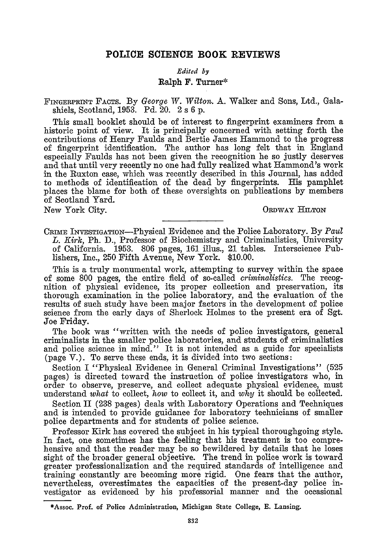## **POLICE SCIENCE BOOK REVIEWS**

### *Edited by*

### **Ralph F. Turner\***

FINGERPRINT **FACTS.** By *George IV. Wilton.* **A.** Walker and Sons, Ltd., Galashiels, Scotland, 1953. **Pd.** 20. 2 s 6 p.

This small booklet should be of interest to fingerprint examiners from a historic point of view. It is principally concerned with setting forth the contributions of Henry Faulds and Bertie James Hammond to the progress of fingerprint identification. The author has long felt that in England especially Faulds has not been given the recognition he so justly deserves and that until very recently no one had fully realized what Hammond's work in the Ruxton case, which was recently described in this Journal, has added to methods of identification of the dead by fingerprints. His pamphlet places the blame for both of these oversights on publications by members of Scotland Yard.

New York City. ORDWAY HILTON

CRIME INVESTIGATION-Physical Evidence and the Police Laboratory. By *Paul L. Kirk,* Ph. D., Professor of Biochemistry and Criminalistics, University of California. 1953. 806 pages, **161** illus., 21 tables. Interscience Publishers, Inc., 250 Fifth Avenue, New York. \$10.00.

This is a truly monumental work, attempting to survey within the space of some 800 pages, the entire field of so-called *criminalistics.* The recognition of physical evidence, its proper collection and preservation, its thorough examination in the police laboratory, and the evaluation of the results of such study have been major factors in the development of police science from the early days of Sherlock Holmes to the present era of Sgt. Joe Friday.

The book was "written with the needs of police investigators, general criminalists in the smaller police laboratories, and students of criminalistics and police science in mind." It is not intended as a guide for specialists (page V.). To serve these ends, it is divided into two sections:

Section I "Physical Evidence in General Criminal Investigations" (525 pages) is directed toward the instruction of police investigators who, in order to observe, preserve, and collect adequate physical evidence, must understand *what* to collect, *how* to collect it, and *why* it should be collected.

Section II (238 pages) deals with Laboratory Operations and Techniques and is intended to provide guidance for laboratory technicians of smaller police departments and for students of police science.

Professor Kirk has covered the subject in his typical thoroughgoing style. In fact, one sometimes has the feeling that his treatment is too comprehensive and that the reader may be so bewildered by details that he loses sight of the broader general objective. The trend in police work is toward greater professionalization and the required standards of intelligence and training constantly are becoming more rigid. One fears that the author, nevertheless, overestimates the capacities of the present-day police investigator as evidenced by his professorial manner and the occasional

<sup>\*</sup>Assoc. Prof. of Police Administration, Michigan State College, **E.** Lansing.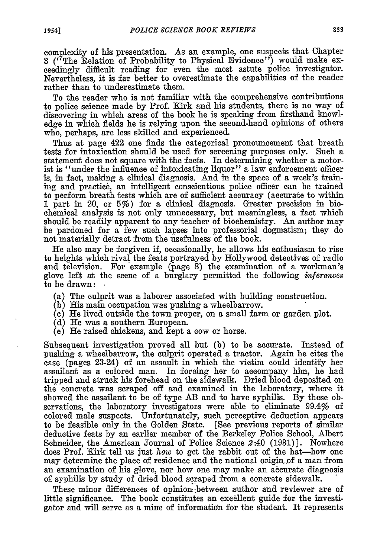complexity of his presentation. As an example, one suspects that Chapter **3** ("The Relation of Probability to Physical Evidence") would make exceedingly difficult reading for even the most astute police investigator. Nevertheless, it is far better to overestimate the capabilities of the reader rather than to underestimate them.

To the reader who is not familiar with the comprehensive contributions to police science made **by** Prof. Kirk and his students, there is no way of discovering in which areas of the book he is speaking from firsthand knowledge in which fields he is relying upon the second-hand opinions of others who, perhaps, are less skilled and experienced.

Thus at page 422 one finds the categorical pronouncement that breath tests for intoxication should be used for screening purposes only. Such a statement does not square with the facts. In determining whether a motorist is "under the influence of intoxicating liquor" a law enforcement officer is, in fact, making a clinical diagnosis. And in the space of a week's training and practice, an intelligent conscientious police officer can be trained **to** perform breath tests which are of sufficient accuracy (accurate to within **1** part in 20, or 5%) for a clinical diagnosis. Greater precision in biochemical analysis is not only unnecessary, but meaningless, a fact which should be readily apparent to any teacher of biochemistry. An author may be pardoned for a few such lapses into professorial dogmatism; they do not materially detract from the usefulness of the book.

He also may be forgiven **if,** occasionally, he allows his enthusiasm to rise to heights which rival the feats portrayed **by** Hollywood detectives of radio and television. For example (page **8)** the examination of a workman's glove left at the scene of a burglary permitted the following *inferences* to be drawn:

- (a) The culprit was a laborer associated with building construction.
- **(b)** His main occupation was pushing a wheelbarrow.
- **(c)** He lived outside the town proper, on a small farm or garden plot.
- **(d)** He was a southern European.
- (e) He raised chickens, and kept a cow or horse.

Subsequent investigation proved all but **(b)** to be accurate. Instead of pushing a wheelbarrow, the culprit operated a tractor. Again he cites the case (pages 23-24) of an assault in which the victim could identify her assailant as a colored man. In forcing her to accompany him, he had tripped and struck his forehead on the sidewalk. Dried blood deposited on the concrete was scraped off and examined in the laboratory, where it showed the assailant to be of type AB and to have syphilis. **By** these observations, the laboratory investigators were able to eliminate 99.4% of colored male suspects. Unfortunately, such perceptive deduction appears to be feasible only in the Golden State. [See previous reports of similar deductive feats **by** an earlier member of the Berkeley Police School, Albert Schneider, the American Journal of Police Science 2:40 **(1931)].** Nowhere does Prof. Kirk tell us just *how* to get the rabbit out of the hat-how one may determine the place of residence and the national origin-.of a man from an examination of his glove, nor how one may make an accurate diagnosis of syphilis **by** study of dried blood scraped from a concrete sidewalk.

These minor differences of opinion ;between author and reviewer are of little significance. The book constitutes an excellent guide for the investigator and will serve as a mine of information for the student. It represents